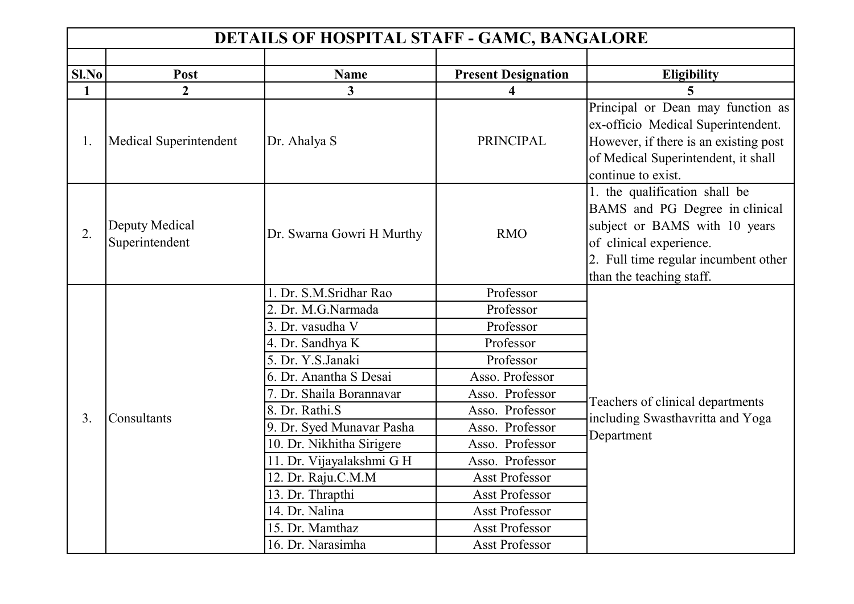| <b>DETAILS OF HOSPITAL STAFF - GAMC, BANGALORE</b> |                                  |                           |                            |                                                                                                                                                                                                 |
|----------------------------------------------------|----------------------------------|---------------------------|----------------------------|-------------------------------------------------------------------------------------------------------------------------------------------------------------------------------------------------|
|                                                    |                                  |                           |                            |                                                                                                                                                                                                 |
| Sl.No                                              | Post                             | <b>Name</b>               | <b>Present Designation</b> | <b>Eligibility</b>                                                                                                                                                                              |
| $\mathbf{1}$                                       | $\overline{2}$                   | $\overline{\mathbf{3}}$   |                            |                                                                                                                                                                                                 |
| 1.                                                 | Medical Superintendent           | Dr. Ahalya S              | <b>PRINCIPAL</b>           | Principal or Dean may function as<br>ex-officio Medical Superintendent.<br>However, if there is an existing post<br>of Medical Superintendent, it shall<br>continue to exist.                   |
| 2.                                                 | Deputy Medical<br>Superintendent | Dr. Swarna Gowri H Murthy | <b>RMO</b>                 | 1. the qualification shall be<br>BAMS and PG Degree in clinical<br>subject or BAMS with 10 years<br>of clinical experience.<br>2. Full time regular incumbent other<br>than the teaching staff. |
|                                                    |                                  | 1. Dr. S.M.Sridhar Rao    | Professor                  |                                                                                                                                                                                                 |
|                                                    |                                  | 2. Dr. M.G.Narmada        | Professor                  |                                                                                                                                                                                                 |
|                                                    |                                  | 3. Dr. vasudha V          | Professor                  |                                                                                                                                                                                                 |
|                                                    |                                  | 4. Dr. Sandhya K          | Professor                  |                                                                                                                                                                                                 |
|                                                    |                                  | 5. Dr. Y.S.Janaki         | Professor                  |                                                                                                                                                                                                 |
|                                                    |                                  | 6. Dr. Anantha S Desai    | Asso. Professor            |                                                                                                                                                                                                 |
|                                                    |                                  | 7. Dr. Shaila Borannavar  | Asso. Professor            | Teachers of clinical departments                                                                                                                                                                |
| 3.                                                 | Consultants                      | 8. Dr. Rathi.S            | Asso. Professor            | including Swasthavritta and Yoga                                                                                                                                                                |
|                                                    |                                  | 9. Dr. Syed Munavar Pasha | Asso. Professor            | Department                                                                                                                                                                                      |
|                                                    |                                  | 10. Dr. Nikhitha Sirigere | Asso. Professor            |                                                                                                                                                                                                 |
|                                                    |                                  | 11. Dr. Vijayalakshmi G H | Asso. Professor            |                                                                                                                                                                                                 |
|                                                    |                                  | 12. Dr. Raju.C.M.M        | <b>Asst Professor</b>      |                                                                                                                                                                                                 |
|                                                    |                                  | 13. Dr. Thrapthi          | <b>Asst Professor</b>      |                                                                                                                                                                                                 |
|                                                    |                                  | 14. Dr. Nalina            | <b>Asst Professor</b>      |                                                                                                                                                                                                 |
|                                                    |                                  | 15. Dr. Mamthaz           | <b>Asst Professor</b>      |                                                                                                                                                                                                 |
|                                                    |                                  | 16. Dr. Narasimha         | <b>Asst Professor</b>      |                                                                                                                                                                                                 |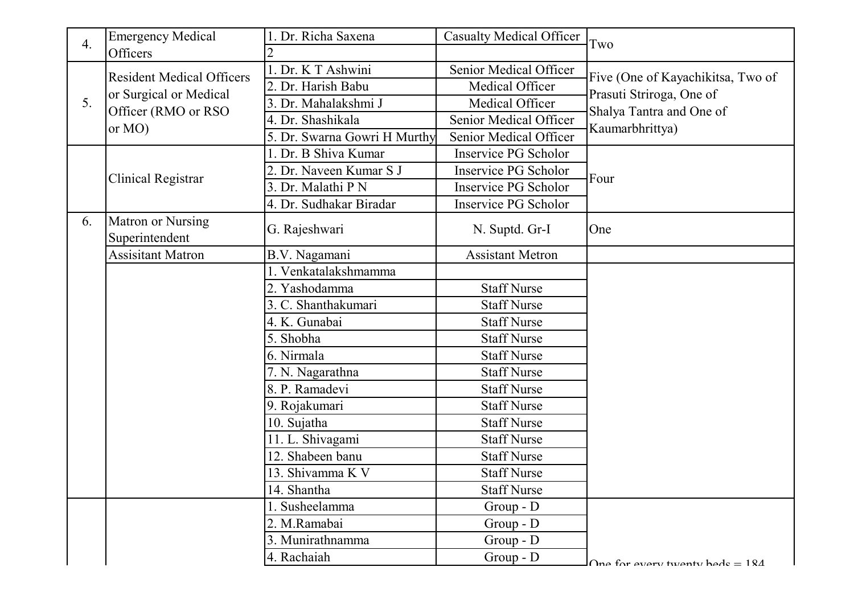| $\overline{4}$ . | <b>Emergency Medical</b>                                                                        | 1. Dr. Richa Saxena          | <b>Casualty Medical Officer</b> | Two                                                                     |
|------------------|-------------------------------------------------------------------------------------------------|------------------------------|---------------------------------|-------------------------------------------------------------------------|
|                  | Officers                                                                                        | 2                            |                                 |                                                                         |
| 5.               | <b>Resident Medical Officers</b><br>or Surgical or Medical<br>Officer (RMO or RSO)<br>or $MO$ ) | 1. Dr. K T Ashwini           | Senior Medical Officer          | Five (One of Kayachikitsa, Two of                                       |
|                  |                                                                                                 | 2. Dr. Harish Babu           | Medical Officer                 | Prasuti Striroga, One of<br>Shalya Tantra and One of<br>Kaumarbhrittya) |
|                  |                                                                                                 | 3. Dr. Mahalakshmi J         | Medical Officer                 |                                                                         |
|                  |                                                                                                 | 4. Dr. Shashikala            | Senior Medical Officer          |                                                                         |
|                  |                                                                                                 | 5. Dr. Swarna Gowri H Murthy | Senior Medical Officer          |                                                                         |
|                  |                                                                                                 | 1. Dr. B Shiva Kumar         | <b>Inservice PG Scholor</b>     |                                                                         |
|                  | Clinical Registrar                                                                              | 2. Dr. Naveen Kumar S J      | <b>Inservice PG Scholor</b>     | Four                                                                    |
|                  |                                                                                                 | 3. Dr. Malathi P N           | Inservice PG Scholor            |                                                                         |
|                  |                                                                                                 | 4. Dr. Sudhakar Biradar      | Inservice PG Scholor            |                                                                         |
| 6.               | Matron or Nursing<br>Superintendent                                                             | G. Rajeshwari                | N. Suptd. Gr-I                  | One                                                                     |
|                  | <b>Assisitant Matron</b>                                                                        | B.V. Nagamani                | <b>Assistant Metron</b>         |                                                                         |
|                  |                                                                                                 | 1. Venkatalakshmamma         |                                 |                                                                         |
|                  |                                                                                                 | 2. Yashodamma                | <b>Staff Nurse</b>              |                                                                         |
|                  |                                                                                                 | 3. C. Shanthakumari          | <b>Staff Nurse</b>              |                                                                         |
|                  |                                                                                                 | 4. K. Gunabai                | <b>Staff Nurse</b>              |                                                                         |
|                  |                                                                                                 | 5. Shobha                    | <b>Staff Nurse</b>              |                                                                         |
|                  |                                                                                                 | 6. Nirmala                   | <b>Staff Nurse</b>              |                                                                         |
|                  |                                                                                                 | 7. N. Nagarathna             | <b>Staff Nurse</b>              |                                                                         |
|                  |                                                                                                 | 8. P. Ramadevi               | <b>Staff Nurse</b>              |                                                                         |
|                  |                                                                                                 | 9. Rojakumari                | <b>Staff Nurse</b>              |                                                                         |
|                  |                                                                                                 | 10. Sujatha                  | <b>Staff Nurse</b>              |                                                                         |
|                  |                                                                                                 | 11. L. Shivagami             | <b>Staff Nurse</b>              |                                                                         |
|                  |                                                                                                 | 12. Shabeen banu             | <b>Staff Nurse</b>              |                                                                         |
|                  |                                                                                                 | 13. Shivamma K V             | <b>Staff Nurse</b>              |                                                                         |
|                  |                                                                                                 | 14. Shantha                  | <b>Staff Nurse</b>              |                                                                         |
|                  |                                                                                                 | 1. Susheelamma               | Group - D                       |                                                                         |
|                  |                                                                                                 | 2. M.Ramabai                 | $Group - D$                     |                                                                         |
|                  |                                                                                                 | 3. Munirathnamma             | Group - D                       |                                                                         |
|                  |                                                                                                 | 4. Rachaiah                  | $Group - D$                     | One for every twenty hede $= 184$                                       |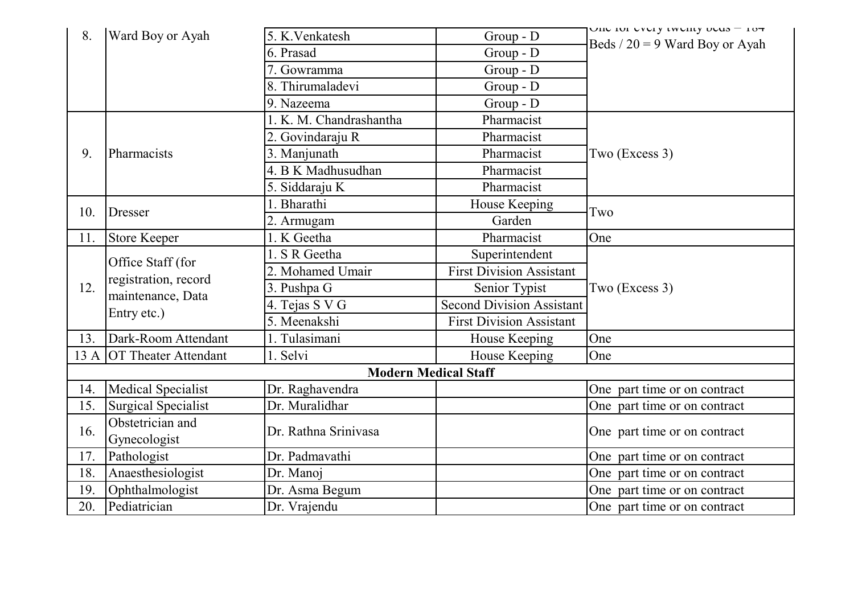| 8.                          | Ward Boy or Ayah                                                              | 5. K. Venkatesh         | Group - D                        | UIIU IUI UVULY LWUIILY UUUS = 107 |  |
|-----------------------------|-------------------------------------------------------------------------------|-------------------------|----------------------------------|-----------------------------------|--|
|                             |                                                                               | 6. Prasad               | $Group - D$                      | Beds $/ 20 = 9$ Ward Boy or Ayah  |  |
|                             |                                                                               | 7. Gowramma             | $Group - D$                      |                                   |  |
|                             |                                                                               | 8. Thirumaladevi        | $Group - D$                      |                                   |  |
|                             |                                                                               | 9. Nazeema              | $Group - D$                      |                                   |  |
|                             |                                                                               | 1. K. M. Chandrashantha | Pharmacist                       |                                   |  |
|                             |                                                                               | 2. Govindaraju R        | Pharmacist                       |                                   |  |
| 9.                          | Pharmacists                                                                   | 3. Manjunath            | Pharmacist                       | Two (Excess 3)                    |  |
|                             |                                                                               | 4. B K Madhusudhan      | Pharmacist                       |                                   |  |
|                             |                                                                               | 5. Siddaraju K          | Pharmacist                       |                                   |  |
|                             |                                                                               | 1. Bharathi             | House Keeping                    |                                   |  |
| 10.                         | <b>Dresser</b>                                                                | 2. Armugam              | Garden                           | Two                               |  |
| 11.                         | <b>Store Keeper</b>                                                           | 1. K Geetha             | Pharmacist                       | One                               |  |
|                             | Office Staff (for<br>registration, record<br>maintenance, Data<br>Entry etc.) | 1. S R Geetha           | Superintendent                   |                                   |  |
|                             |                                                                               | 2. Mohamed Umair        | <b>First Division Assistant</b>  | Two (Excess 3)                    |  |
| 12.                         |                                                                               | 3. Pushpa G             | Senior Typist                    |                                   |  |
|                             |                                                                               | 4. Tejas S V G          | <b>Second Division Assistant</b> |                                   |  |
|                             |                                                                               | 5. Meenakshi            | <b>First Division Assistant</b>  |                                   |  |
| 13.                         | Dark-Room Attendant                                                           | 1. Tulasimani           | House Keeping                    | One                               |  |
|                             | 13 A OT Theater Attendant                                                     | 1. Selvi                | House Keeping                    | One                               |  |
| <b>Modern Medical Staff</b> |                                                                               |                         |                                  |                                   |  |
| 14.                         | <b>Medical Specialist</b>                                                     | Dr. Raghavendra         |                                  | One part time or on contract      |  |
| 15.                         | <b>Surgical Specialist</b>                                                    | Dr. Muralidhar          |                                  | One part time or on contract      |  |
| 16.                         | Obstetrician and<br>Gynecologist                                              | Dr. Rathna Srinivasa    |                                  | One part time or on contract      |  |
| 17.                         | Pathologist                                                                   | Dr. Padmavathi          |                                  | One part time or on contract      |  |
| 18.                         | Anaesthesiologist                                                             | Dr. Manoj               |                                  | One part time or on contract      |  |
| 19.                         | Ophthalmologist                                                               | Dr. Asma Begum          |                                  | One part time or on contract      |  |
| 20.                         | Pediatrician                                                                  | Dr. Vrajendu            |                                  | One part time or on contract      |  |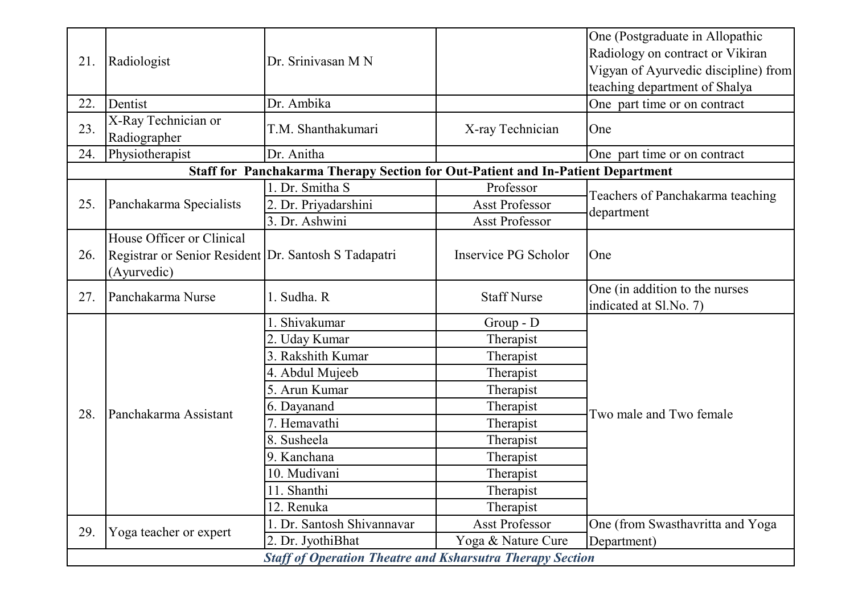| 21.                                                              | Radiologist                                                         | Dr. Srinivasan M N                                                              |                       | One (Postgraduate in Allopathic                          |
|------------------------------------------------------------------|---------------------------------------------------------------------|---------------------------------------------------------------------------------|-----------------------|----------------------------------------------------------|
|                                                                  |                                                                     |                                                                                 |                       | Radiology on contract or Vikiran                         |
|                                                                  |                                                                     |                                                                                 |                       | Vigyan of Ayurvedic discipline) from                     |
|                                                                  |                                                                     |                                                                                 |                       | teaching department of Shalya                            |
| 22.                                                              | Dentist                                                             | Dr. Ambika                                                                      |                       | One part time or on contract                             |
| 23.                                                              | X-Ray Technician or<br>Radiographer                                 | T.M. Shanthakumari                                                              | X-ray Technician      | One                                                      |
| 24.                                                              | Physiotherapist                                                     | Dr. Anitha                                                                      |                       | One part time or on contract                             |
|                                                                  |                                                                     | Staff for Panchakarma Therapy Section for Out-Patient and In-Patient Department |                       |                                                          |
|                                                                  |                                                                     | 1. Dr. Smitha S                                                                 | Professor             | Teachers of Panchakarma teaching                         |
| 25.                                                              | Panchakarma Specialists                                             | 2. Dr. Priyadarshini                                                            | <b>Asst Professor</b> | department                                               |
|                                                                  |                                                                     | 3. Dr. Ashwini                                                                  | <b>Asst Professor</b> |                                                          |
|                                                                  | House Officer or Clinical                                           |                                                                                 |                       |                                                          |
| 26.                                                              | Registrar or Senior Resident Dr. Santosh S Tadapatri<br>(Ayurvedic) |                                                                                 | Inservice PG Scholor  | One                                                      |
| 27.                                                              | Panchakarma Nurse                                                   | 1. Sudha. R                                                                     | <b>Staff Nurse</b>    | One (in addition to the nurses<br>indicated at Sl.No. 7) |
|                                                                  |                                                                     | Shivakumar                                                                      | $Group - D$           |                                                          |
|                                                                  |                                                                     | 2. Uday Kumar                                                                   | Therapist             |                                                          |
|                                                                  |                                                                     | 3. Rakshith Kumar                                                               | Therapist             |                                                          |
|                                                                  |                                                                     | 4. Abdul Mujeeb                                                                 | Therapist             |                                                          |
|                                                                  |                                                                     | 5. Arun Kumar                                                                   | Therapist             |                                                          |
| 28.                                                              | Panchakarma Assistant                                               | 6. Dayanand                                                                     | Therapist             | Two male and Two female                                  |
|                                                                  |                                                                     | 7. Hemavathi                                                                    | Therapist             |                                                          |
|                                                                  |                                                                     | 8. Susheela                                                                     | Therapist             |                                                          |
|                                                                  |                                                                     | 9. Kanchana                                                                     | Therapist             |                                                          |
|                                                                  |                                                                     | 10. Mudivani                                                                    | Therapist             |                                                          |
|                                                                  |                                                                     | 11. Shanthi                                                                     | Therapist             |                                                          |
|                                                                  |                                                                     | 12. Renuka                                                                      | Therapist             |                                                          |
| 29.                                                              | Yoga teacher or expert                                              | 1. Dr. Santosh Shivannavar                                                      | Asst Professor        | One (from Swasthavritta and Yoga                         |
|                                                                  |                                                                     | 2. Dr. JyothiBhat                                                               | Yoga & Nature Cure    | Department)                                              |
| <b>Staff of Operation Theatre and Ksharsutra Therapy Section</b> |                                                                     |                                                                                 |                       |                                                          |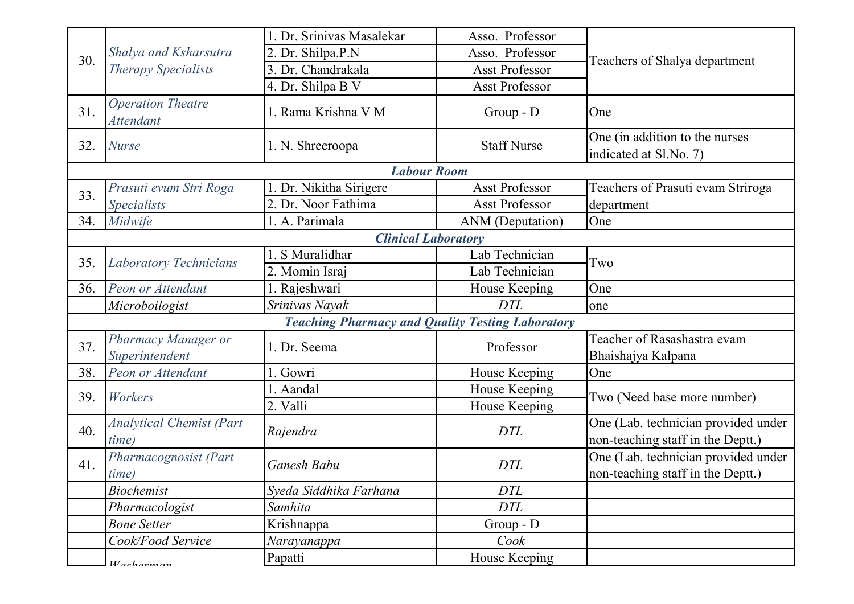|     |                                                     | 1. Dr. Srinivas Masalekar                               | Asso. Professor       |                                                                          |
|-----|-----------------------------------------------------|---------------------------------------------------------|-----------------------|--------------------------------------------------------------------------|
| 30. | Shalya and Ksharsutra<br><b>Therapy Specialists</b> | 2. Dr. Shilpa.P.N                                       | Asso. Professor       |                                                                          |
|     |                                                     | 3. Dr. Chandrakala                                      | Asst Professor        | Teachers of Shalya department                                            |
|     |                                                     | 4. Dr. Shilpa B V                                       | <b>Asst Professor</b> |                                                                          |
| 31. | <b>Operation Theatre</b><br><b>Attendant</b>        | 1. Rama Krishna V M                                     | Group - D             | One                                                                      |
| 32. | <b>Nurse</b>                                        | 1. N. Shreeroopa                                        | <b>Staff Nurse</b>    | One (in addition to the nurses<br>indicated at Sl.No. 7)                 |
|     |                                                     | <b>Labour Room</b>                                      |                       |                                                                          |
| 33. | Prasuti evum Stri Roga                              | 1. Dr. Nikitha Sirigere                                 | <b>Asst Professor</b> | Teachers of Prasuti evam Striroga                                        |
|     | <b>Specialists</b>                                  | 2. Dr. Noor Fathima                                     | Asst Professor        | department                                                               |
| 34. | Midwife                                             | 1. A. Parimala                                          | ANM (Deputation)      | One                                                                      |
|     |                                                     | <b>Clinical Laboratory</b>                              |                       |                                                                          |
| 35. | <b>Laboratory Technicians</b>                       | 1. S Muralidhar                                         | Lab Technician        | Two                                                                      |
|     |                                                     | 2. Momin Israj                                          | Lab Technician        |                                                                          |
| 36. | Peon or Attendant                                   | 1. Rajeshwari                                           | House Keeping         | One                                                                      |
|     | Microboilogist                                      | Srinivas Nayak                                          | <b>DTL</b>            | one                                                                      |
|     |                                                     | <b>Teaching Pharmacy and Quality Testing Laboratory</b> |                       |                                                                          |
| 37. | Pharmacy Manager or<br>Superintendent               | 1. Dr. Seema                                            | Professor             | Teacher of Rasashastra evam<br>Bhaishajya Kalpana                        |
| 38. | Peon or Attendant                                   | l. Gowri                                                | House Keeping         | One                                                                      |
| 39. | Workers                                             | l. Aandal                                               | House Keeping         | Two (Need base more number)                                              |
|     |                                                     | 2. Valli                                                | House Keeping         |                                                                          |
| 40. | <b>Analytical Chemist (Part</b><br><i>time</i> )    | Rajendra                                                | <b>DTL</b>            | One (Lab. technician provided under<br>non-teaching staff in the Deptt.) |
| 41. | Pharmacognosist (Part<br><i>time</i> )              | Ganesh Babu                                             | <b>DTL</b>            | One (Lab. technician provided under<br>non-teaching staff in the Deptt.) |
|     | <b>Biochemist</b>                                   | Syeda Siddhika Farhana                                  | <b>DTL</b>            |                                                                          |
|     | Pharmacologist                                      | Samhita                                                 | <b>DTL</b>            |                                                                          |
|     | <b>Bone Setter</b>                                  | Krishnappa                                              | Group - D             |                                                                          |
|     | Cook/Food Service                                   | Narayanappa                                             | Cook                  |                                                                          |
|     | Washorman                                           | Papatti                                                 | House Keeping         |                                                                          |